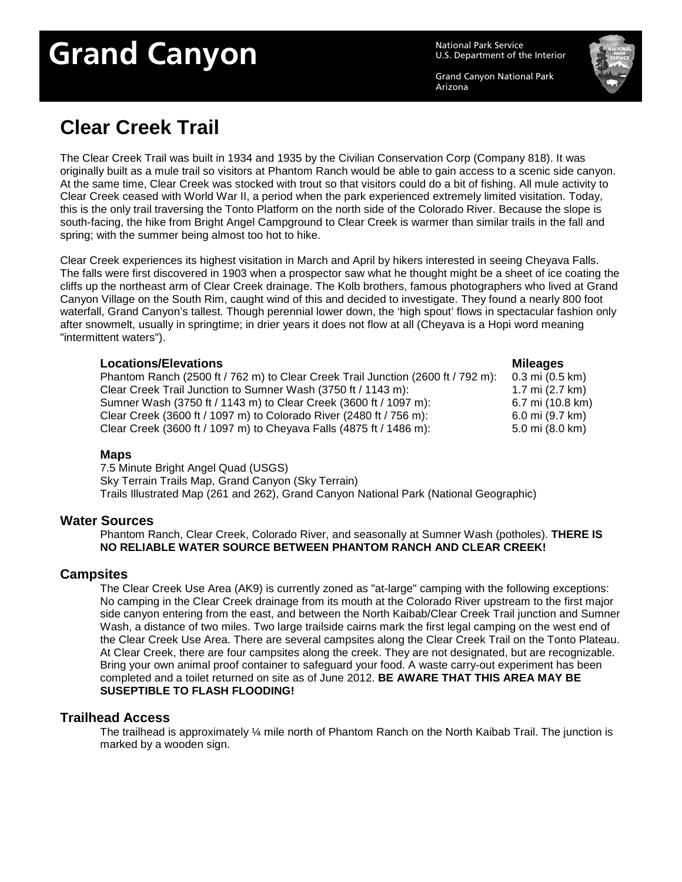# Grand Canyon<br>U.S. Department of the

U.S. Department of the Interior

Grand Canyon National Park Arizona



## **Clear Creek Trail**

The Clear Creek Trail was built in 1934 and 1935 by the Civilian Conservation Corp (Company 818). It was originally built as a mule trail so visitors at Phantom Ranch would be able to gain access to a scenic side canyon. At the same time, Clear Creek was stocked with trout so that visitors could do a bit of fishing. All mule activity to Clear Creek ceased with World War II, a period when the park experienced extremely limited visitation. Today, this is the only trail traversing the Tonto Platform on the north side of the Colorado River. Because the slope is south-facing, the hike from Bright Angel Campground to Clear Creek is warmer than similar trails in the fall and spring; with the summer being almost too hot to hike.

Clear Creek experiences its highest visitation in March and April by hikers interested in seeing Cheyava Falls. The falls were first discovered in 1903 when a prospector saw what he thought might be a sheet of ice coating the cliffs up the northeast arm of Clear Creek drainage. The Kolb brothers, famous photographers who lived at Grand Canyon Village on the South Rim, caught wind of this and decided to investigate. They found a nearly 800 foot waterfall, Grand Canyon's tallest. Though perennial lower down, the 'high spout' flows in spectacular fashion only after snowmelt, usually in springtime; in drier years it does not flow at all (Cheyava is a Hopi word meaning "intermittent waters").

#### **Locations/Elevations Mileages**

Phantom Ranch (2500 ft / 762 m) to Clear Creek Trail Junction (2600 ft / 792 m): Clear Creek Trail Junction to Sumner Wash (3750 ft / 1143 m): Sumner Wash (3750 ft / 1143 m) to Clear Creek (3600 ft / 1097 m): Clear Creek (3600 ft / 1097 m) to Colorado River (2480 ft / 756 m): Clear Creek (3600 ft / 1097 m) to Cheyava Falls (4875 ft / 1486 m):

0.3 mi (0.5 km) 1.7 mi (2.7 km) 6.7 mi (10.8 km) 6.0 mi (9.7 km) 5.0 mi (8.0 km)

#### **Maps**

7.5 Minute Bright Angel Quad (USGS) Sky Terrain Trails Map, Grand Canyon (Sky Terrain) Trails Illustrated Map (261 and 262), Grand Canyon National Park (National Geographic)

#### **Water Sources**

Phantom Ranch, Clear Creek, Colorado River, and seasonally at Sumner Wash (potholes). **THERE IS NO RELIABLE WATER SOURCE BETWEEN PHANTOM RANCH AND CLEAR CREEK!**

#### **Campsites**

The Clear Creek Use Area (AK9) is currently zoned as "at-large" camping with the following exceptions: No camping in the Clear Creek drainage from its mouth at the Colorado River upstream to the first major side canyon entering from the east, and between the North Kaibab/Clear Creek Trail junction and Sumner Wash, a distance of two miles. Two large trailside cairns mark the first legal camping on the west end of the Clear Creek Use Area. There are several campsites along the Clear Creek Trail on the Tonto Plateau. At Clear Creek, there are four campsites along the creek. They are not designated, but are recognizable. Bring your own animal proof container to safeguard your food. A waste carry-out experiment has been completed and a toilet returned on site as of June 2012. **BE AWARE THAT THIS AREA MAY BE SUSEPTIBLE TO FLASH FLOODING!**

#### **Trailhead Access**

The trailhead is approximately ¼ mile north of Phantom Ranch on the North Kaibab Trail. The junction is marked by a wooden sign.